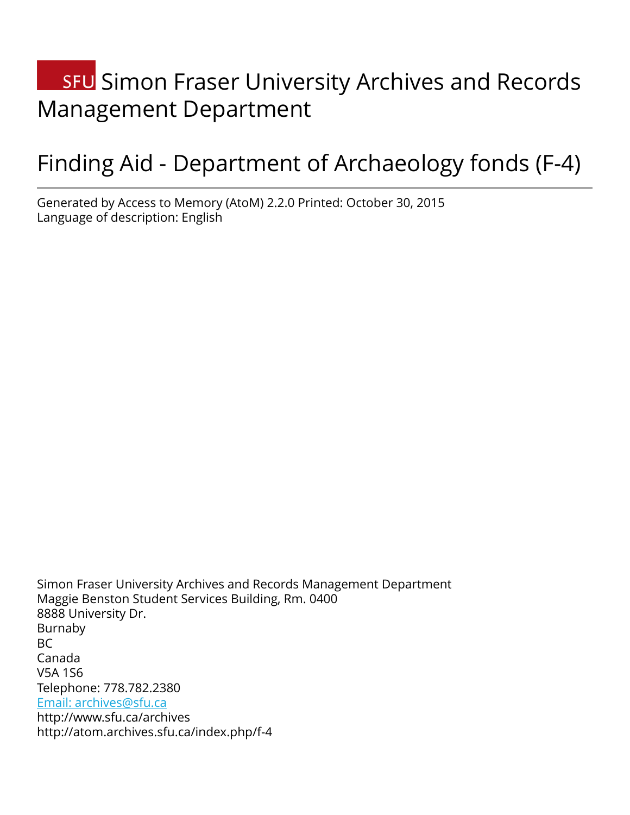# **SFU** Simon Fraser University Archives and Records Management Department

# Finding Aid - Department of Archaeology fonds (F-4)

Generated by Access to Memory (AtoM) 2.2.0 Printed: October 30, 2015 Language of description: English

Simon Fraser University Archives and Records Management Department Maggie Benston Student Services Building, Rm. 0400 8888 University Dr. Burnaby BC Canada V5A 1S6 Telephone: 778.782.2380 [Email: archives@sfu.ca](mailto:Email: archives@sfu.ca) http://www.sfu.ca/archives http://atom.archives.sfu.ca/index.php/f-4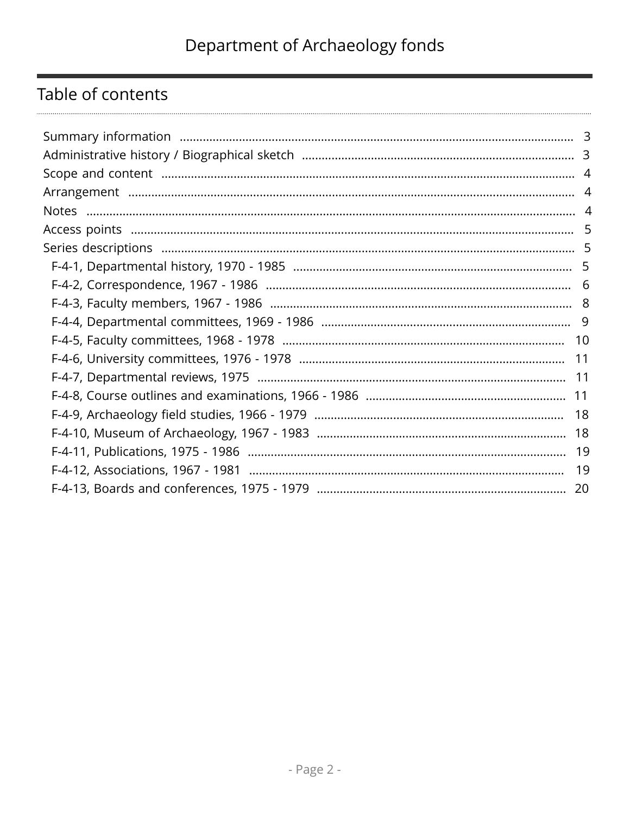# Table of contents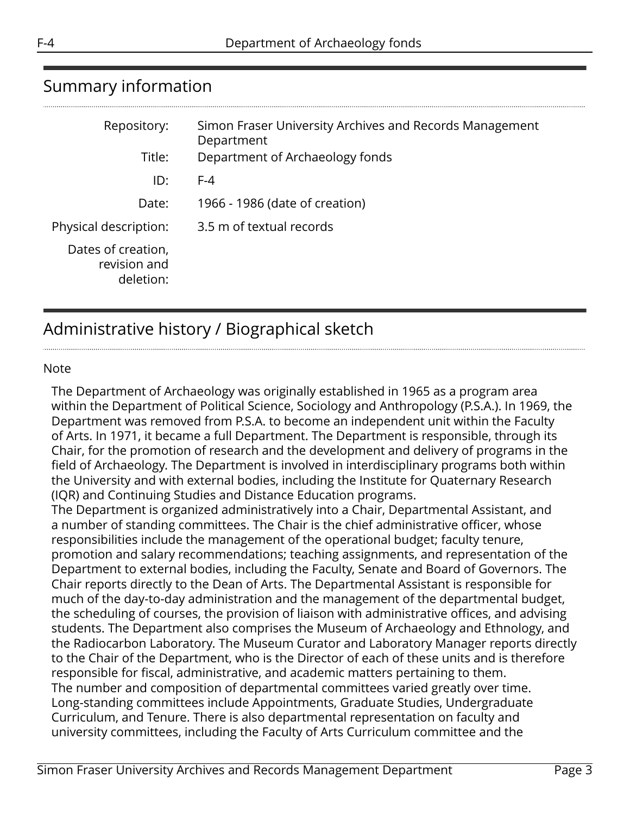<span id="page-2-0"></span>

| Repository:                                     | Simon Fraser University Archives and Records Management<br>Department |
|-------------------------------------------------|-----------------------------------------------------------------------|
| Title:                                          | Department of Archaeology fonds                                       |
| ID:                                             | $F-4$                                                                 |
| Date:                                           | 1966 - 1986 (date of creation)                                        |
| Physical description:                           | 3.5 m of textual records                                              |
| Dates of creation,<br>revision and<br>deletion: |                                                                       |

# <span id="page-2-1"></span>Administrative history / Biographical sketch

#### Note

The Department of Archaeology was originally established in 1965 as a program area within the Department of Political Science, Sociology and Anthropology (P.S.A.). In 1969, the Department was removed from P.S.A. to become an independent unit within the Faculty of Arts. In 1971, it became a full Department. The Department is responsible, through its Chair, for the promotion of research and the development and delivery of programs in the field of Archaeology. The Department is involved in interdisciplinary programs both within the University and with external bodies, including the Institute for Quaternary Research (IQR) and Continuing Studies and Distance Education programs.

The Department is organized administratively into a Chair, Departmental Assistant, and a number of standing committees. The Chair is the chief administrative officer, whose responsibilities include the management of the operational budget; faculty tenure, promotion and salary recommendations; teaching assignments, and representation of the Department to external bodies, including the Faculty, Senate and Board of Governors. The Chair reports directly to the Dean of Arts. The Departmental Assistant is responsible for much of the day-to-day administration and the management of the departmental budget, the scheduling of courses, the provision of liaison with administrative offices, and advising students. The Department also comprises the Museum of Archaeology and Ethnology, and the Radiocarbon Laboratory. The Museum Curator and Laboratory Manager reports directly to the Chair of the Department, who is the Director of each of these units and is therefore responsible for fiscal, administrative, and academic matters pertaining to them. The number and composition of departmental committees varied greatly over time. Long-standing committees include Appointments, Graduate Studies, Undergraduate Curriculum, and Tenure. There is also departmental representation on faculty and university committees, including the Faculty of Arts Curriculum committee and the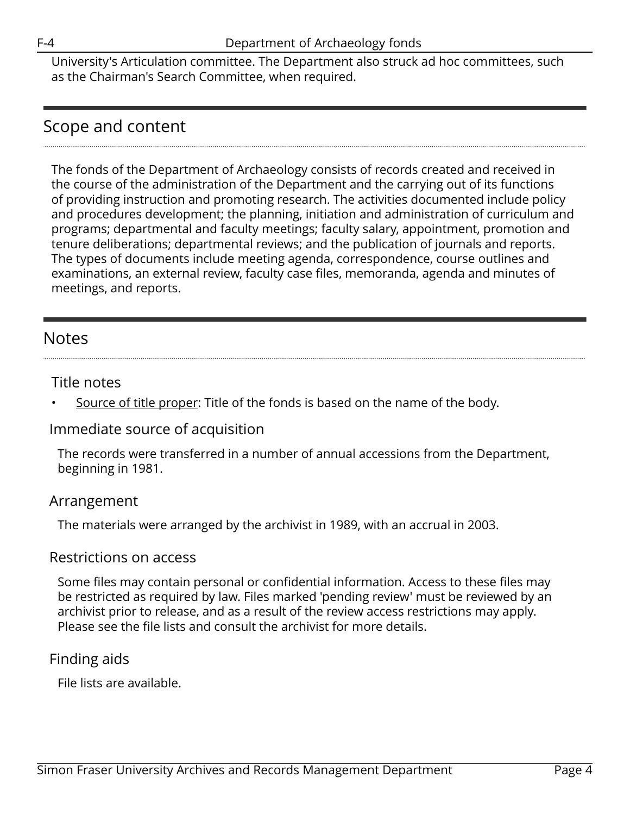University's Articulation committee. The Department also struck ad hoc committees, such as the Chairman's Search Committee, when required.

# <span id="page-3-0"></span>Scope and content

The fonds of the Department of Archaeology consists of records created and received in the course of the administration of the Department and the carrying out of its functions of providing instruction and promoting research. The activities documented include policy and procedures development; the planning, initiation and administration of curriculum and programs; departmental and faculty meetings; faculty salary, appointment, promotion and tenure deliberations; departmental reviews; and the publication of journals and reports. The types of documents include meeting agenda, correspondence, course outlines and examinations, an external review, faculty case files, memoranda, agenda and minutes of meetings, and reports.

# <span id="page-3-2"></span>Notes

### Title notes

Source of title proper: Title of the fonds is based on the name of the body.

## Immediate source of acquisition

The records were transferred in a number of annual accessions from the Department, beginning in 1981.

## <span id="page-3-1"></span>Arrangement

The materials were arranged by the archivist in 1989, with an accrual in 2003.

#### Restrictions on access

Some files may contain personal or confidential information. Access to these files may be restricted as required by law. Files marked 'pending review' must be reviewed by an archivist prior to release, and as a result of the review access restrictions may apply. Please see the file lists and consult the archivist for more details.

## Finding aids

File lists are available.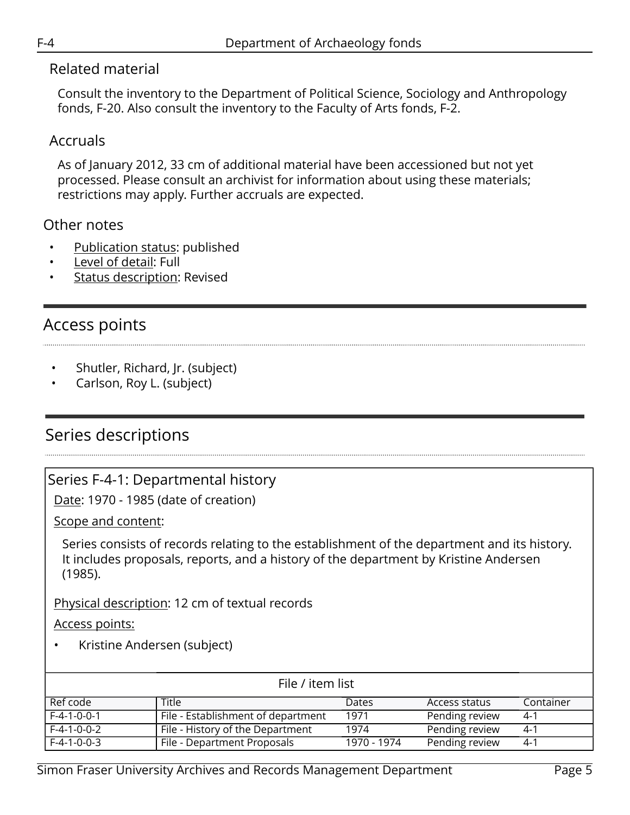### Related material

Consult the inventory to the Department of Political Science, Sociology and Anthropology fonds, F-20. Also consult the inventory to the Faculty of Arts fonds, F-2.

# Accruals

As of January 2012, 33 cm of additional material have been accessioned but not yet processed. Please consult an archivist for information about using these materials; restrictions may apply. Further accruals are expected.

## Other notes

- Publication status: published
- Level of detail: Full
- **Status description: Revised**

# <span id="page-4-0"></span>Access points

- Shutler, Richard, Jr. (subject)
- Carlson, Roy L. (subject)

# <span id="page-4-1"></span>Series descriptions

## <span id="page-4-2"></span>Series F-4-1: Departmental history

Date: 1970 - 1985 (date of creation)

Scope and content:

Series consists of records relating to the establishment of the department and its history. It includes proposals, reports, and a history of the department by Kristine Andersen (1985).

Physical description: 12 cm of textual records

Access points:

• Kristine Andersen (subject)

| File / item list |                                    |             |                |           |
|------------------|------------------------------------|-------------|----------------|-----------|
| Ref code         | Title                              | Dates       | Access status  | Container |
| $F-4-1-0-0-1$    | File - Establishment of department | 1971        | Pending review | 4-1       |
| $F-4-1-0-0-2$    | File - History of the Department   | 1974        | Pending review | 4-1       |
| $F-4-1-0-0-3$    | File - Department Proposals        | 1970 - 1974 | Pending review | -41       |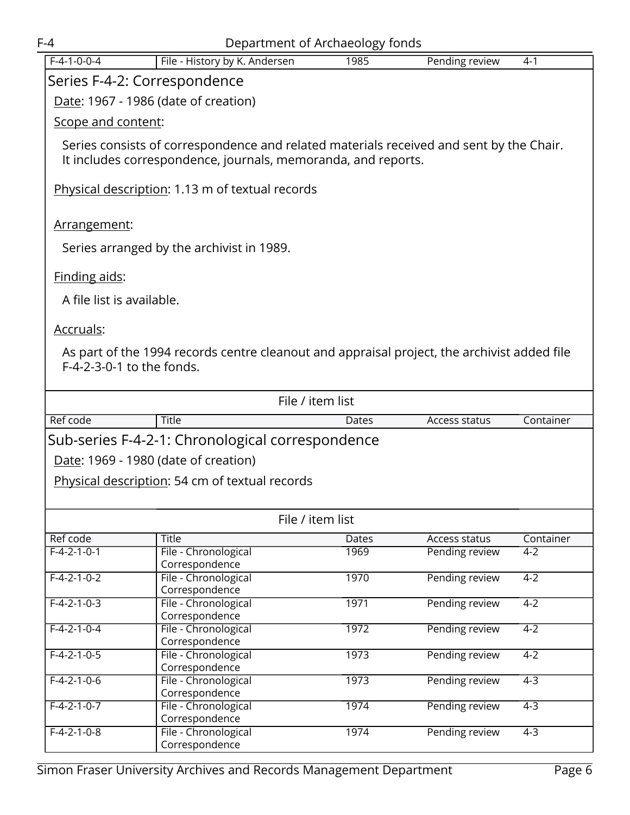<span id="page-5-0"></span>

|                              | $F-4$<br>Department of Archaeology fonds                                                    |       |                      |           |  |  |
|------------------------------|---------------------------------------------------------------------------------------------|-------|----------------------|-----------|--|--|
| $F-4-1-0-0-4$                | File - History by K. Andersen                                                               | 1985  | Pending review       | $4 - 1$   |  |  |
| Series F-4-2: Correspondence |                                                                                             |       |                      |           |  |  |
|                              |                                                                                             |       |                      |           |  |  |
|                              | Date: 1967 - 1986 (date of creation)                                                        |       |                      |           |  |  |
| Scope and content:           |                                                                                             |       |                      |           |  |  |
|                              | Series consists of correspondence and related materials received and sent by the Chair.     |       |                      |           |  |  |
|                              | It includes correspondence, journals, memoranda, and reports.                               |       |                      |           |  |  |
|                              |                                                                                             |       |                      |           |  |  |
|                              | Physical description: 1.13 m of textual records                                             |       |                      |           |  |  |
|                              |                                                                                             |       |                      |           |  |  |
| Arrangement:                 |                                                                                             |       |                      |           |  |  |
|                              |                                                                                             |       |                      |           |  |  |
|                              | Series arranged by the archivist in 1989.                                                   |       |                      |           |  |  |
|                              |                                                                                             |       |                      |           |  |  |
| Finding aids:                |                                                                                             |       |                      |           |  |  |
| A file list is available.    |                                                                                             |       |                      |           |  |  |
|                              |                                                                                             |       |                      |           |  |  |
| Accruals:                    |                                                                                             |       |                      |           |  |  |
|                              | As part of the 1994 records centre cleanout and appraisal project, the archivist added file |       |                      |           |  |  |
| F-4-2-3-0-1 to the fonds.    |                                                                                             |       |                      |           |  |  |
|                              |                                                                                             |       |                      |           |  |  |
|                              | File / item list                                                                            |       |                      |           |  |  |
|                              |                                                                                             |       |                      |           |  |  |
| Ref code                     | Title                                                                                       | Dates | Access status        | Container |  |  |
|                              | Sub-series F-4-2-1: Chronological correspondence                                            |       |                      |           |  |  |
|                              | Date: 1969 - 1980 (date of creation)                                                        |       |                      |           |  |  |
|                              | <b>Physical description: 54 cm of textual records</b>                                       |       |                      |           |  |  |
|                              |                                                                                             |       |                      |           |  |  |
|                              |                                                                                             |       |                      |           |  |  |
|                              | File / item list                                                                            |       |                      |           |  |  |
| Ref code                     | <b>Title</b>                                                                                | Dates | <b>Access status</b> | Container |  |  |
| $F-4-2-1-0-1$                | File - Chronological                                                                        | 1969  | Pending review       | $4 - 2$   |  |  |
| $F-4-2-1-0-2$                | Correspondence<br>File - Chronological                                                      | 1970  | Pending review       | $4 - 2$   |  |  |
|                              | Correspondence                                                                              |       |                      |           |  |  |
| $F-4-2-1-0-3$                | File - Chronological                                                                        | 1971  | Pending review       | $4 - 2$   |  |  |
|                              | Correspondence                                                                              |       |                      |           |  |  |
| $F-4-2-1-0-4$                | File - Chronological                                                                        | 1972  | Pending review       | $4 - 2$   |  |  |
| $F-4-2-1-0-5$                | Correspondence<br>File - Chronological                                                      | 1973  | Pending review       | $4 - 2$   |  |  |
|                              | Correspondence                                                                              |       |                      |           |  |  |
| $F-4-2-1-0-6$                | File - Chronological                                                                        | 1973  | Pending review       | $4-3$     |  |  |
|                              | Correspondence                                                                              |       |                      |           |  |  |
| $F-4-2-1-0-7$                | File - Chronological<br>Correspondence                                                      | 1974  | Pending review       | $4 - 3$   |  |  |
| $F-4-2-1-0-8$                | File - Chronological                                                                        | 1974  | Pending review       | $4 - 3$   |  |  |
|                              | Correspondence                                                                              |       |                      |           |  |  |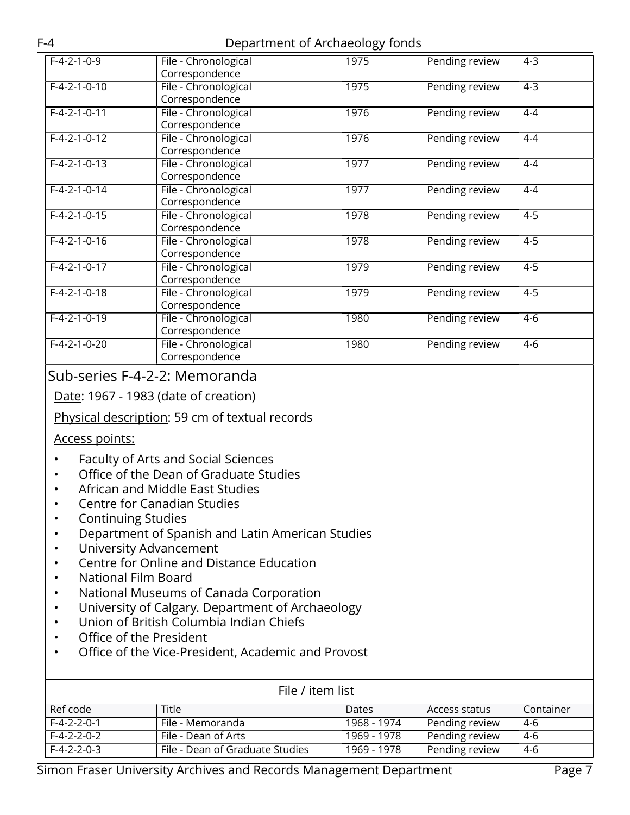| $F-4-2-1-0-9$  | File - Chronological<br>Correspondence | 1975 | Pending review | $4-3$   |
|----------------|----------------------------------------|------|----------------|---------|
| $F-4-2-1-0-10$ | File - Chronological<br>Correspondence | 1975 | Pending review | $4 - 3$ |
| $F-4-2-1-0-11$ | File - Chronological<br>Correspondence | 1976 | Pending review | $4 - 4$ |
| $F-4-2-1-0-12$ | File - Chronological<br>Correspondence | 1976 | Pending review | $4-4$   |
| $F-4-2-1-0-13$ | File - Chronological<br>Correspondence | 1977 | Pending review | $4 - 4$ |
| $F-4-2-1-0-14$ | File - Chronological<br>Correspondence | 1977 | Pending review | $4 - 4$ |
| $F-4-2-1-0-15$ | File - Chronological<br>Correspondence | 1978 | Pending review | $4-5$   |
| $F-4-2-1-0-16$ | File - Chronological<br>Correspondence | 1978 | Pending review | $4-5$   |
| $F-4-2-1-0-17$ | File - Chronological<br>Correspondence | 1979 | Pending review | $4-5$   |
| $F-4-2-1-0-18$ | File - Chronological<br>Correspondence | 1979 | Pending review | $4-5$   |
| $F-4-2-1-0-19$ | File - Chronological<br>Correspondence | 1980 | Pending review | $4 - 6$ |
| $F-4-2-1-0-20$ | File - Chronological<br>Correspondence | 1980 | Pending review | $4-6$   |

# Sub-series F-4-2-2: Memoranda

Date: 1967 - 1983 (date of creation)

#### Physical description: 59 cm of textual records

#### Access points:

- Faculty of Arts and Social Sciences
- Office of the Dean of Graduate Studies
- African and Middle East Studies
- Centre for Canadian Studies
- Continuing Studies
- Department of Spanish and Latin American Studies
- University Advancement
- Centre for Online and Distance Education
- National Film Board
- National Museums of Canada Corporation
- University of Calgary. Department of Archaeology
- Union of British Columbia Indian Chiefs
- Office of the President
- Office of the Vice-President, Academic and Provost

| File / item list |                                 |              |                |           |
|------------------|---------------------------------|--------------|----------------|-----------|
| Ref code         | Title                           | <b>Dates</b> | Access status  | Container |
| $F-4-2-2-0-1$    | . File - Memoranda              | 1968 - 1974  | Pending review | 4-6       |
| $F-4-2-2-0-2$    | File - Dean of Arts             | 1969 - 1978  | Pending review | 4-6       |
| $F-4-2-2-0-3$    | File - Dean of Graduate Studies | 1969 - 1978  | Pending review | 4-6       |

Simon Fraser University Archives and Records Management Department Page 7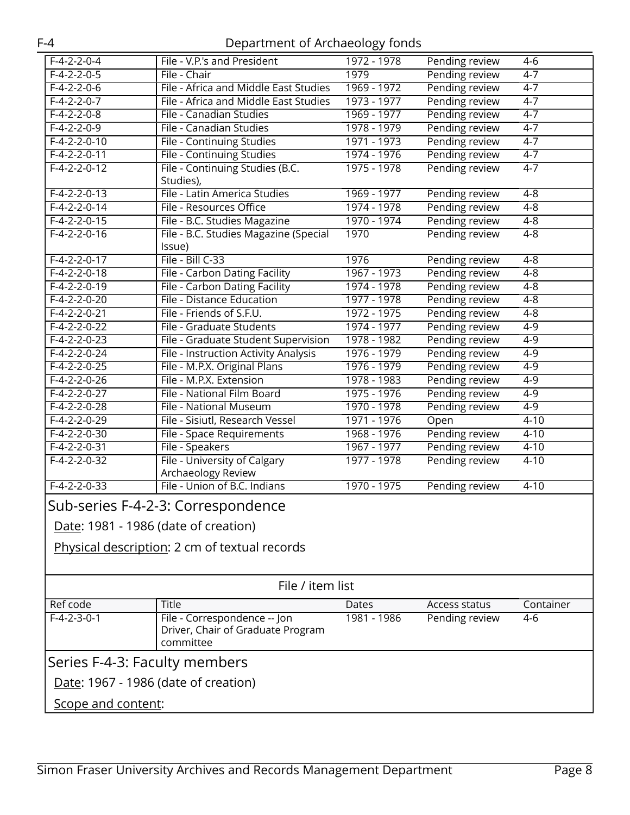<span id="page-7-0"></span>

| $F-4-2-2-0-4$                 | File - V.P.'s and President                                                    | 1972 - 1978 | Pending review | $4 - 6$   |  |
|-------------------------------|--------------------------------------------------------------------------------|-------------|----------------|-----------|--|
| $F-4-2-2-0-5$                 | File - Chair                                                                   | 1979        | Pending review | $4 - 7$   |  |
| $F-4-2-2-0-6$                 | File - Africa and Middle East Studies                                          | 1969 - 1972 | Pending review | $4-7$     |  |
| $F-4-2-2-0-7$                 | File - Africa and Middle East Studies                                          | 1973 - 1977 | Pending review | $4 - 7$   |  |
| $F-4-2-2-0-8$                 | File - Canadian Studies                                                        | 1969 - 1977 | Pending review | $4 - 7$   |  |
| $F-4-2-2-0-9$                 | File - Canadian Studies                                                        | 1978 - 1979 | Pending review | $4 - 7$   |  |
| $F-4-2-2-0-10$                | File - Continuing Studies                                                      | 1971 - 1973 | Pending review | $4 - 7$   |  |
| $F-4-2-2-0-11$                | <b>File - Continuing Studies</b>                                               | 1974 - 1976 | Pending review | $4 - 7$   |  |
| $F-4-2-2-0-12$                | File - Continuing Studies (B.C.<br>Studies),                                   | 1975 - 1978 | Pending review | $4 - 7$   |  |
| $F-4-2-2-0-13$                | File - Latin America Studies                                                   | 1969 - 1977 | Pending review | $4 - 8$   |  |
| $F-4-2-2-0-14$                | File - Resources Office                                                        | 1974 - 1978 | Pending review | $4 - 8$   |  |
| $F-4-2-2-0-15$                | File - B.C. Studies Magazine                                                   | 1970 - 1974 | Pending review | $4 - 8$   |  |
| $F-4-2-2-0-16$                | File - B.C. Studies Magazine (Special<br>Issue)                                | 1970        | Pending review | $4 - 8$   |  |
| $F-4-2-2-0-17$                | File - Bill C-33                                                               | 1976        | Pending review | $4 - 8$   |  |
| $F-4-2-2-0-18$                | File - Carbon Dating Facility                                                  | 1967 - 1973 | Pending review | $4 - 8$   |  |
| $F-4-2-2-0-19$                | File - Carbon Dating Facility                                                  | 1974 - 1978 | Pending review | $4 - 8$   |  |
| $F-4-2-2-0-20$                | File - Distance Education                                                      | 1977 - 1978 | Pending review | $4 - 8$   |  |
| $F-4-2-2-0-21$                | File - Friends of S.F.U.                                                       | 1972 - 1975 | Pending review | $4 - 8$   |  |
| $F-4-2-2-0-22$                | File - Graduate Students                                                       | 1974 - 1977 | Pending review | $4 - 9$   |  |
| $F-4-2-2-0-23$                | File - Graduate Student Supervision                                            | 1978 - 1982 | Pending review | $4-9$     |  |
| $F-4-2-2-0-24$                | File - Instruction Activity Analysis                                           | 1976 - 1979 | Pending review | $4-9$     |  |
| $F-4-2-2-0-25$                | File - M.P.X. Original Plans                                                   | 1976 - 1979 | Pending review | $4 - 9$   |  |
| $F-4-2-2-0-26$                | File - M.P.X. Extension                                                        | 1978 - 1983 | Pending review | $4 - 9$   |  |
| $F-4-2-2-0-27$                | File - National Film Board                                                     | 1975 - 1976 | Pending review | $4-9$     |  |
| $F-4-2-2-0-28$                | File - National Museum                                                         | 1970 - 1978 | Pending review | $4 - 9$   |  |
| $F-4-2-2-0-29$                | File - Sisiutl, Research Vessel                                                | 1971 - 1976 | Open           | $4 - 10$  |  |
| $F-4-2-2-0-30$                | File - Space Requirements                                                      | 1968 - 1976 | Pending review | $4 - 10$  |  |
| $F-4-2-2-0-31$                | File - Speakers                                                                | 1967 - 1977 | Pending review | $4 - 10$  |  |
| $F-4-2-2-0-32$                | File - University of Calgary<br>Archaeology Review                             | 1977 - 1978 | Pending review | $4 - 10$  |  |
| $F-4-2-2-0-33$                | File - Union of B.C. Indians                                                   | 1970 - 1975 | Pending review | $4 - 10$  |  |
|                               | Sub-series F-4-2-3: Correspondence                                             |             |                |           |  |
|                               | Date: 1981 - 1986 (date of creation)                                           |             |                |           |  |
|                               | Physical description: 2 cm of textual records                                  |             |                |           |  |
| File / item list              |                                                                                |             |                |           |  |
| Ref code                      | Title                                                                          | Dates       | Access status  | Container |  |
| $F-4-2-3-0-1$                 | File - Correspondence -- Jon<br>Driver, Chair of Graduate Program<br>committee | 1981 - 1986 | Pending review | $4-6$     |  |
| Series F-4-3: Faculty members |                                                                                |             |                |           |  |
|                               | Date: 1967 - 1986 (date of creation)                                           |             |                |           |  |
|                               |                                                                                |             |                |           |  |
| Scope and content:            |                                                                                |             |                |           |  |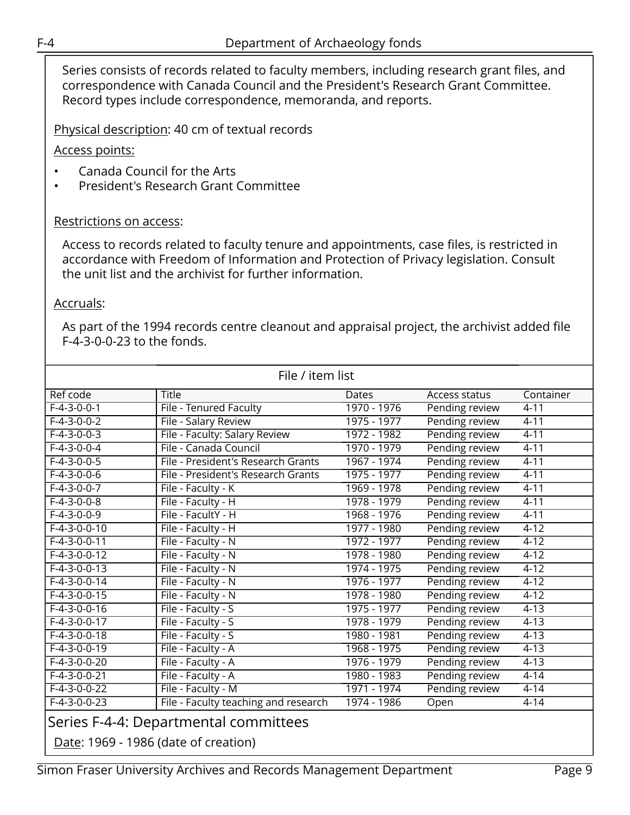Series consists of records related to faculty members, including research grant files, and correspondence with Canada Council and the President's Research Grant Committee. Record types include correspondence, memoranda, and reports.

Physical description: 40 cm of textual records

Access points:

- Canada Council for the Arts
- President's Research Grant Committee

#### Restrictions on access:

Access to records related to faculty tenure and appointments, case files, is restricted in accordance with Freedom of Information and Protection of Privacy legislation. Consult the unit list and the archivist for further information.

#### Accruals:

As part of the 1994 records centre cleanout and appraisal project, the archivist added file F-4-3-0-0-23 to the fonds.

| File / item list                      |                                      |             |                |           |
|---------------------------------------|--------------------------------------|-------------|----------------|-----------|
| Ref code                              | <b>Title</b>                         | Dates       | Access status  | Container |
| $F-4-3-0-0-1$                         | File - Tenured Faculty               | 1970 - 1976 | Pending review | $4 - 11$  |
| $F-4-3-0-0-2$                         | File - Salary Review                 | 1975 - 1977 | Pending review | $4 - 11$  |
| $F-4-3-0-0-3$                         | File - Faculty: Salary Review        | 1972 - 1982 | Pending review | $4 - 11$  |
| $F-4-3-0-0-4$                         | File - Canada Council                | 1970 - 1979 | Pending review | $4 - 11$  |
| $F-4-3-0-0-5$                         | File - President's Research Grants   | 1967 - 1974 | Pending review | $4 - 11$  |
| $F-4-3-0-0-6$                         | File - President's Research Grants   | 1975 - 1977 | Pending review | $4 - 11$  |
| $F-4-3-0-0-7$                         | File - Faculty - K                   | 1969 - 1978 | Pending review | $4 - 11$  |
| $F-4-3-0-0-8$                         | File - Faculty - H                   | 1978 - 1979 | Pending review | $4 - 11$  |
| $F-4-3-0-0-9$                         | File - FacultY - H                   | 1968 - 1976 | Pending review | $4 - 11$  |
| $F-4-3-0-0-10$                        | File - Faculty - H                   | 1977 - 1980 | Pending review | $4 - 12$  |
| $F-4-3-0-0-11$                        | File - Faculty - N                   | 1972 - 1977 | Pending review | $4 - 12$  |
| $F-4-3-0-0-12$                        | File - Faculty - N                   | 1978 - 1980 | Pending review | $4 - 12$  |
| $F-4-3-0-0-13$                        | File - Faculty - N                   | 1974 - 1975 | Pending review | $4 - 12$  |
| $F-4-3-0-0-14$                        | File - Faculty - N                   | 1976 - 1977 | Pending review | $4 - 12$  |
| $F-4-3-0-0-15$                        | File - Faculty - N                   | 1978 - 1980 | Pending review | $4 - 12$  |
| $F-4-3-0-0-16$                        | File - Faculty - S                   | 1975 - 1977 | Pending review | $4 - 13$  |
| $F-4-3-0-0-17$                        | File - Faculty - S                   | 1978 - 1979 | Pending review | $4 - 13$  |
| $F-4-3-0-0-18$                        | File - Faculty - S                   | 1980 - 1981 | Pending review | $4 - 13$  |
| $F-4-3-0-0-19$                        | File - Faculty - A                   | 1968 - 1975 | Pending review | $4 - 13$  |
| $F-4-3-0-0-20$                        | File - Faculty - A                   | 1976 - 1979 | Pending review | $4 - 13$  |
| $F-4-3-0-0-21$                        | File - Faculty - A                   | 1980 - 1983 | Pending review | $4 - 14$  |
| $F-4-3-0-0-22$                        | File - Faculty - M                   | 1971 - 1974 | Pending review | $4 - 14$  |
| $F-4-3-0-0-23$                        | File - Faculty teaching and research | 1974 - 1986 | Open           | $4 - 14$  |
| Series F-4-4: Departmental committees |                                      |             |                |           |

<span id="page-8-0"></span>Date: 1969 - 1986 (date of creation)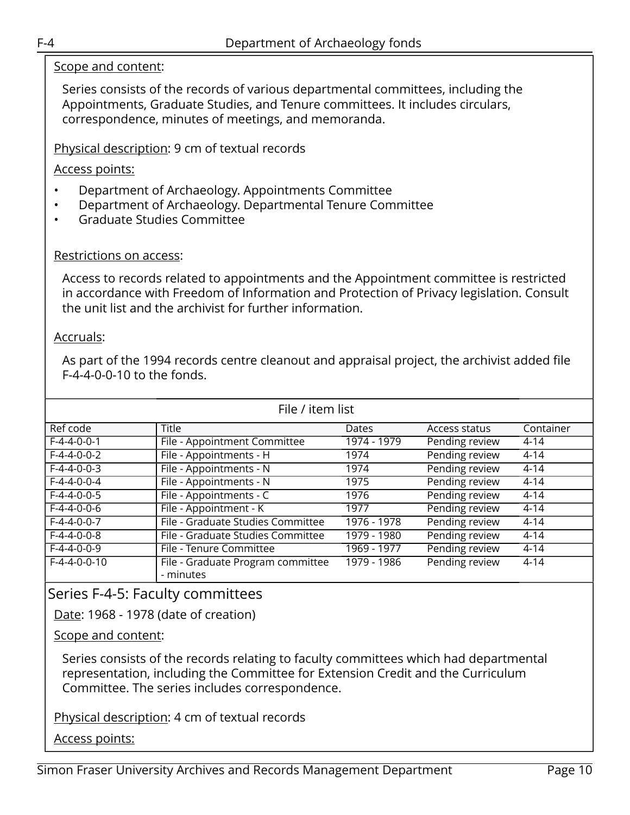#### Scope and content:

Series consists of the records of various departmental committees, including the Appointments, Graduate Studies, and Tenure committees. It includes circulars, correspondence, minutes of meetings, and memoranda.

Physical description: 9 cm of textual records

#### Access points:

- Department of Archaeology. Appointments Committee
- Department of Archaeology. Departmental Tenure Committee
- Graduate Studies Committee

#### Restrictions on access:

Access to records related to appointments and the Appointment committee is restricted in accordance with Freedom of Information and Protection of Privacy legislation. Consult the unit list and the archivist for further information.

#### Accruals:

As part of the 1994 records centre cleanout and appraisal project, the archivist added file F-4-4-0-0-10 to the fonds.

| File / item list |                                                |             |                |           |
|------------------|------------------------------------------------|-------------|----------------|-----------|
| Ref code         | <b>Title</b>                                   | Dates       | Access status  | Container |
| $F-4-4-0-0-1$    | File - Appointment Committee                   | 1974 - 1979 | Pending review | $4 - 14$  |
| $F-4-4-0-0-2$    | File - Appointments - H                        | 1974        | Pending review | $4 - 14$  |
| $F-4-4-0-0-3$    | File - Appointments - N                        | 1974        | Pending review | $4 - 14$  |
| $F-4-4-0-0-4$    | File - Appointments - N                        | 1975        | Pending review | $4 - 14$  |
| $F-4-4-0-0-5$    | File - Appointments - C                        | 1976        | Pending review | $4 - 14$  |
| $F-4-4-0-0-6$    | File - Appointment - K                         | 1977        | Pending review | $4 - 14$  |
| $F-4-4-0-0-7$    | File - Graduate Studies Committee              | 1976 - 1978 | Pending review | $4 - 14$  |
| $F-4-4-0-0-8$    | File - Graduate Studies Committee              | 1979 - 1980 | Pending review | $4 - 14$  |
| $F-4-4-0-0-9$    | File - Tenure Committee                        | 1969 - 1977 | Pending review | $4 - 14$  |
| $F-4-4-0-0-10$   | File - Graduate Program committee<br>- minutes | 1979 - 1986 | Pending review | $4 - 14$  |

## <span id="page-9-0"></span>Series F-4-5: Faculty committees

Date: 1968 - 1978 (date of creation)

Scope and content:

Series consists of the records relating to faculty committees which had departmental representation, including the Committee for Extension Credit and the Curriculum Committee. The series includes correspondence.

Physical description: 4 cm of textual records

Access points: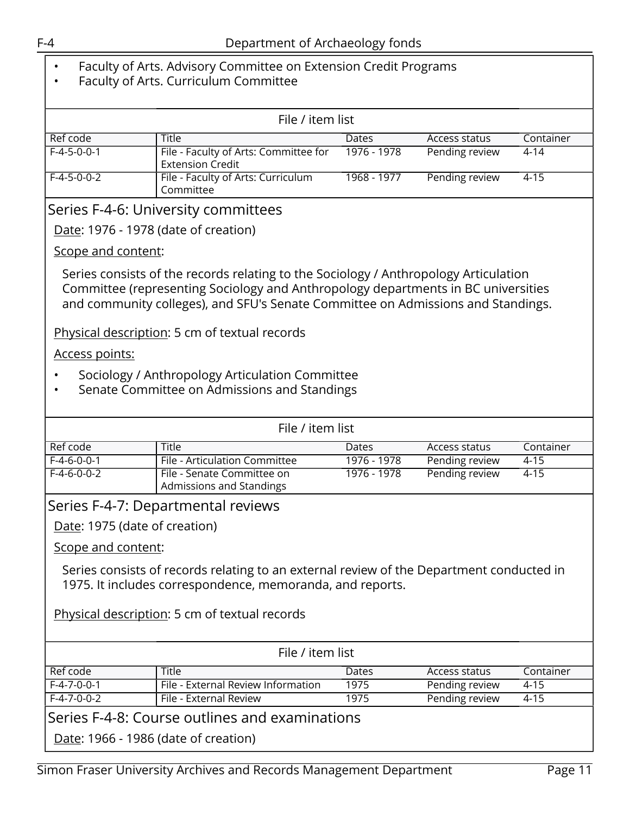### • Faculty of Arts. Advisory Committee on Extension Credit Programs

• Faculty of Arts. Curriculum Committee

| File / item list |                                                                  |              |                |           |
|------------------|------------------------------------------------------------------|--------------|----------------|-----------|
| Ref code         | Title                                                            | <b>Dates</b> | Access status  | Container |
| $F-4-5-0-0-1$    | File - Faculty of Arts: Committee for<br><b>Extension Credit</b> | 1976 - 1978  | Pending review | 4-14      |
| l F-4-5-0-0-2    | File - Faculty of Arts: Curriculum<br>Committee                  | 1968 - 1977  | Pending review | $4 - 15$  |

#### <span id="page-10-0"></span>Series F-4-6: University committees

Date: 1976 - 1978 (date of creation)

#### Scope and content:

Series consists of the records relating to the Sociology / Anthropology Articulation Committee (representing Sociology and Anthropology departments in BC universities and community colleges), and SFU's Senate Committee on Admissions and Standings.

Physical description: 5 cm of textual records

#### Access points:

- Sociology / Anthropology Articulation Committee
- Senate Committee on Admissions and Standings

<span id="page-10-2"></span><span id="page-10-1"></span>

| File / item list                               |                                                                                                                                                       |             |                |           |  |
|------------------------------------------------|-------------------------------------------------------------------------------------------------------------------------------------------------------|-------------|----------------|-----------|--|
| Ref code                                       | Title                                                                                                                                                 | Dates       | Access status  | Container |  |
| $F-4-6-0-0-1$                                  | File - Articulation Committee                                                                                                                         | 1976 - 1978 | Pending review | $4 - 15$  |  |
| $F-4-6-0-0-2$                                  | File - Senate Committee on<br>Admissions and Standings                                                                                                | 1976 - 1978 | Pending review | $4 - 15$  |  |
|                                                | Series F-4-7: Departmental reviews                                                                                                                    |             |                |           |  |
| Date: 1975 (date of creation)                  |                                                                                                                                                       |             |                |           |  |
| Scope and content:                             |                                                                                                                                                       |             |                |           |  |
|                                                | Series consists of records relating to an external review of the Department conducted in<br>1975. It includes correspondence, memoranda, and reports. |             |                |           |  |
|                                                | Physical description: 5 cm of textual records                                                                                                         |             |                |           |  |
|                                                | File / item list                                                                                                                                      |             |                |           |  |
| Ref code                                       | <b>Title</b>                                                                                                                                          | Dates       | Access status  | Container |  |
| $F-4-7-0-0-1$                                  | File - External Review Information                                                                                                                    | 1975        | Pending review | $4 - 15$  |  |
| $F-4-7-0-0-2$                                  | File - External Review                                                                                                                                | 1975        | Pending review | $4 - 15$  |  |
| Series F-4-8: Course outlines and examinations |                                                                                                                                                       |             |                |           |  |
|                                                | Date: 1966 - 1986 (date of creation)                                                                                                                  |             |                |           |  |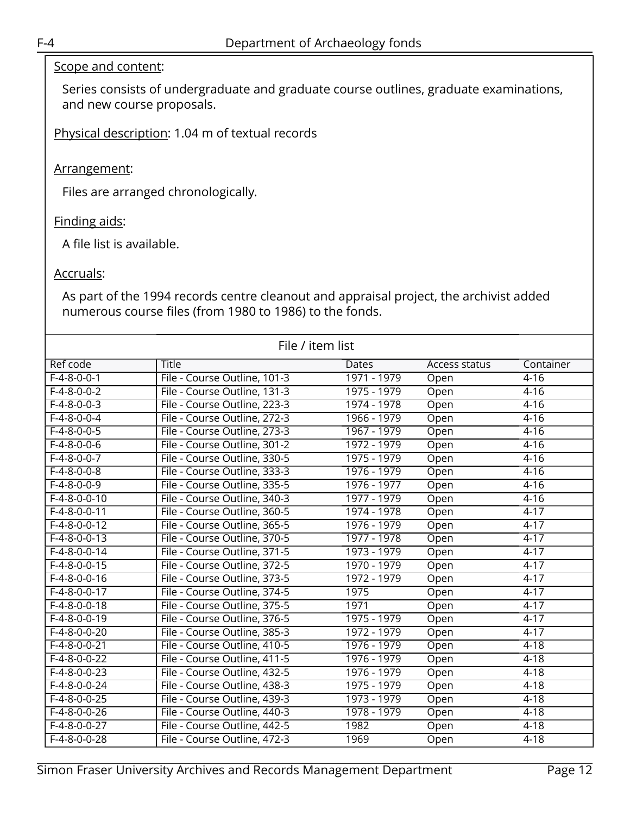#### Scope and content:

Series consists of undergraduate and graduate course outlines, graduate examinations, and new course proposals.

Physical description: 1.04 m of textual records

#### Arrangement:

Files are arranged chronologically.

#### Finding aids:

A file list is available.

#### Accruals:

As part of the 1994 records centre cleanout and appraisal project, the archivist added numerous course files (from 1980 to 1986) to the fonds.

| File / item list |                              |             |               |           |
|------------------|------------------------------|-------------|---------------|-----------|
| <b>Ref code</b>  | <b>Title</b>                 | Dates       | Access status | Container |
| $F-4-8-0-0-1$    | File - Course Outline, 101-3 | 1971 - 1979 | Open          | $4 - 16$  |
| $F-4-8-0-0-2$    | File - Course Outline, 131-3 | 1975 - 1979 | Open          | $4 - 16$  |
| $F-4-8-0-0-3$    | File - Course Outline, 223-3 | 1974 - 1978 | Open          | $4 - 16$  |
| $F-4-8-0-0-4$    | File - Course Outline, 272-3 | 1966 - 1979 | Open          | $4 - 16$  |
| $F-4-8-0-0-5$    | File - Course Outline, 273-3 | 1967 - 1979 | Open          | $4 - 16$  |
| $F-4-8-0-0-6$    | File - Course Outline, 301-2 | 1972 - 1979 | Open          | $4 - 16$  |
| $F-4-8-0-0-7$    | File - Course Outline, 330-5 | 1975 - 1979 | Open          | $4 - 16$  |
| $F-4-8-0-0-8$    | File - Course Outline, 333-3 | 1976 - 1979 | Open          | $4 - 16$  |
| $F-4-8-0-0-9$    | File - Course Outline, 335-5 | 1976 - 1977 | Open          | $4 - 16$  |
| $F-4-8-0-0-10$   | File - Course Outline, 340-3 | 1977 - 1979 | Open          | $4 - 16$  |
| $F-4-8-0-0-11$   | File - Course Outline, 360-5 | 1974 - 1978 | Open          | $4 - 17$  |
| $F-4-8-0-0-12$   | File - Course Outline, 365-5 | 1976 - 1979 | Open          | $4 - 17$  |
| $F-4-8-0-0-13$   | File - Course Outline, 370-5 | 1977 - 1978 | Open          | $4 - 17$  |
| $F-4-8-0-0-14$   | File - Course Outline, 371-5 | 1973 - 1979 | Open          | $4 - 17$  |
| $F-4-8-0-0-15$   | File - Course Outline, 372-5 | 1970 - 1979 | Open          | $4-17$    |
| $F-4-8-0-0-16$   | File - Course Outline, 373-5 | 1972 - 1979 | Open          | $4 - 17$  |
| $F-4-8-0-0-17$   | File - Course Outline, 374-5 | 1975        | Open          | $4 - 17$  |
| $F-4-8-0-0-18$   | File - Course Outline, 375-5 | 1971        | Open          | $4 - 17$  |
| $F-4-8-0-0-19$   | File - Course Outline, 376-5 | 1975 - 1979 | Open          | $4 - 17$  |
| $F-4-8-0-0-20$   | File - Course Outline, 385-3 | 1972 - 1979 | Open          | $4 - 17$  |
| $F-4-8-0-0-21$   | File - Course Outline, 410-5 | 1976 - 1979 | Open          | $4 - 18$  |
| $F-4-8-0-0-22$   | File - Course Outline, 411-5 | 1976 - 1979 | Open          | $4 - 18$  |
| $F-4-8-0-0-23$   | File - Course Outline, 432-5 | 1976 - 1979 | Open          | $4 - 18$  |
| $F-4-8-0-0-24$   | File - Course Outline, 438-3 | 1975 - 1979 | Open          | $4 - 18$  |
| $F-4-8-0-0-25$   | File - Course Outline, 439-3 | 1973 - 1979 | Open          | $4 - 18$  |
| $F-4-8-0-0-26$   | File - Course Outline, 440-3 | 1978 - 1979 | Open          | $4 - 18$  |
| $F-4-8-0-0-27$   | File - Course Outline, 442-5 | 1982        | Open          | $4 - 18$  |
| $F-4-8-0-0-28$   | File - Course Outline, 472-3 | 1969        | Open          | $4 - 18$  |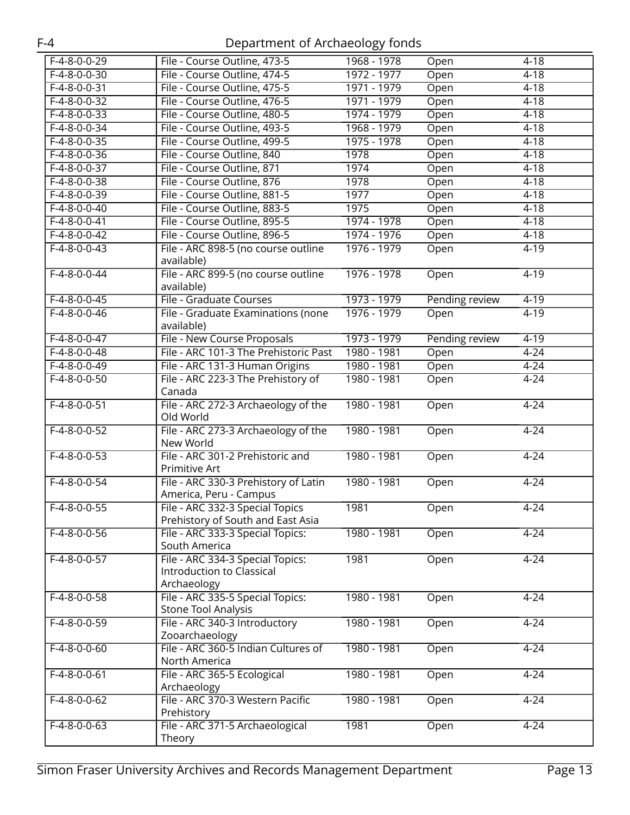| $F-4-8-0-0-29$ | File - Course Outline, 473-5                                                 | 1968 - 1978 | Open           | $4 - 18$ |
|----------------|------------------------------------------------------------------------------|-------------|----------------|----------|
| $F-4-8-0-0-30$ | File - Course Outline, 474-5                                                 | 1972 - 1977 | Open           | $4 - 18$ |
| $F-4-8-0-0-31$ | File - Course Outline, 475-5                                                 | 1971 - 1979 | Open           | $4 - 18$ |
| $F-4-8-0-0-32$ | File - Course Outline, 476-5                                                 | 1971 - 1979 | Open           | $4 - 18$ |
| $F-4-8-0-0-33$ | File - Course Outline, 480-5                                                 | 1974 - 1979 | Open           | $4 - 18$ |
| $F-4-8-0-0-34$ | File - Course Outline, 493-5                                                 | 1968 - 1979 | Open           | $4 - 18$ |
| $F-4-8-0-0-35$ | File - Course Outline, 499-5                                                 | 1975 - 1978 | Open           | $4 - 18$ |
| $F-4-8-0-0-36$ | File - Course Outline, 840                                                   | 1978        | Open           | $4 - 18$ |
| $F-4-8-0-0-37$ | File - Course Outline, 871                                                   | 1974        | Open           | $4 - 18$ |
| $F-4-8-0-0-38$ | File - Course Outline, 876                                                   | 1978        | Open           | $4 - 18$ |
| $F-4-8-0-0-39$ | File - Course Outline, 881-5                                                 | 1977        | Open           | $4 - 18$ |
| $F-4-8-0-0-40$ | File - Course Outline, 883-5                                                 | 1975        | Open           | $4 - 18$ |
| $F-4-8-0-0-41$ | File - Course Outline, 895-5                                                 | 1974 - 1978 | Open           | $4 - 18$ |
| $F-4-8-0-0-42$ | File - Course Outline, 896-5                                                 | 1974 - 1976 | Open           | $4 - 18$ |
| $F-4-8-0-0-43$ | File - ARC 898-5 (no course outline                                          | 1976 - 1979 | Open           | $4 - 19$ |
|                | available)                                                                   |             |                |          |
| $F-4-8-0-0-44$ | File - ARC 899-5 (no course outline<br>available)                            | 1976 - 1978 | Open           | $4 - 19$ |
| $F-4-8-0-0-45$ | File - Graduate Courses                                                      | 1973 - 1979 | Pending review | $4 - 19$ |
| $F-4-8-0-0-46$ | File - Graduate Examinations (none                                           | 1976 - 1979 | Open           | $4 - 19$ |
|                | available)                                                                   |             |                |          |
| $F-4-8-0-0-47$ | File - New Course Proposals                                                  | 1973 - 1979 | Pending review | $4 - 19$ |
| $F-4-8-0-0-48$ | File - ARC 101-3 The Prehistoric Past                                        | 1980 - 1981 | Open           | $4 - 24$ |
| $F-4-8-0-0-49$ | File - ARC 131-3 Human Origins                                               | 1980 - 1981 | Open           | $4 - 24$ |
| $F-4-8-0-0-50$ | File - ARC 223-3 The Prehistory of<br>Canada                                 | 1980 - 1981 | Open           | $4 - 24$ |
| $F-4-8-0-0-51$ | File - ARC 272-3 Archaeology of the<br>Old World                             | 1980 - 1981 | Open           | $4 - 24$ |
| $F-4-8-0-0-52$ | File - ARC 273-3 Archaeology of the<br>New World                             | 1980 - 1981 | Open           | $4 - 24$ |
| $F-4-8-0-0-53$ | File - ARC 301-2 Prehistoric and<br>Primitive Art                            | 1980 - 1981 | Open           | $4 - 24$ |
| $F-4-8-0-0-54$ | File - ARC 330-3 Prehistory of Latin<br>America, Peru - Campus               | 1980 - 1981 | Open           | $4 - 24$ |
| $F-4-8-0-0-55$ | File - ARC 332-3 Special Topics<br>Prehistory of South and East Asia         | 1981        | Open           | $4 - 24$ |
| $F-4-8-0-0-56$ | File - ARC 333-3 Special Topics:<br>South America                            | 1980 - 1981 | Open           | $4 - 24$ |
| F-4-8-0-0-57   | File - ARC 334-3 Special Topics:<br>Introduction to Classical<br>Archaeology | 1981        | Open           | $4 - 24$ |
| $F-4-8-0-0-58$ | File - ARC 335-5 Special Topics:<br><b>Stone Tool Analysis</b>               | 1980 - 1981 | Open           | $4 - 24$ |
| $F-4-8-0-0-59$ | File - ARC 340-3 Introductory<br>Zooarchaeology                              | 1980 - 1981 | Open           | $4 - 24$ |
| $F-4-8-0-0-60$ | File - ARC 360-5 Indian Cultures of<br>North America                         | 1980 - 1981 | Open           | $4 - 24$ |
| $F-4-8-0-0-61$ | File - ARC 365-5 Ecological<br>Archaeology                                   | 1980 - 1981 | Open           | $4 - 24$ |
| $F-4-8-0-0-62$ | File - ARC 370-3 Western Pacific<br>Prehistory                               | 1980 - 1981 | Open           | $4 - 24$ |
| $F-4-8-0-0-63$ | File - ARC 371-5 Archaeological<br>Theory                                    | 1981        | Open           | $4 - 24$ |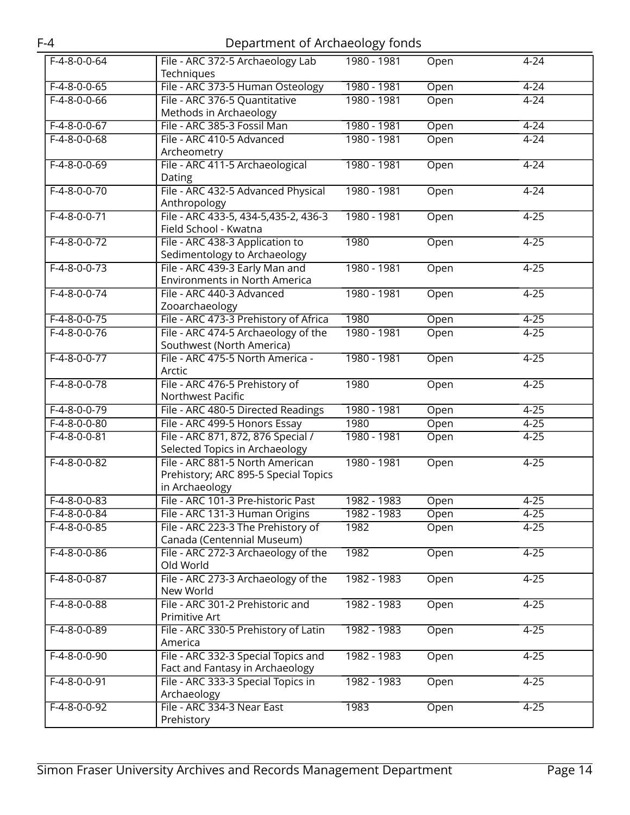|                | $-$ -parametric $ \cdots$ and $ \cdots$ $ \cdots$ $-$                                     |             |      |          |
|----------------|-------------------------------------------------------------------------------------------|-------------|------|----------|
| $F-4-8-0-0-64$ | File - ARC 372-5 Archaeology Lab<br>Techniques                                            | 1980 - 1981 | Open | $4 - 24$ |
| $F-4-8-0-0-65$ | File - ARC 373-5 Human Osteology                                                          | 1980 - 1981 | Open | $4 - 24$ |
| $F-4-8-0-0-66$ | File - ARC 376-5 Quantitative<br>Methods in Archaeology                                   | 1980 - 1981 | Open | $4 - 24$ |
| $F-4-8-0-0-67$ | File - ARC 385-3 Fossil Man                                                               | 1980 - 1981 | Open | $4 - 24$ |
| $F-4-8-0-0-68$ | File - ARC 410-5 Advanced<br>Archeometry                                                  | 1980 - 1981 | Open | $4 - 24$ |
| $F-4-8-0-0-69$ | File - ARC 411-5 Archaeological<br>Dating                                                 | 1980 - 1981 | Open | $4 - 24$ |
| $F-4-8-0-0-70$ | File - ARC 432-5 Advanced Physical<br>Anthropology                                        | 1980 - 1981 | Open | $4 - 24$ |
| $F-4-8-0-0-71$ | File - ARC 433-5, 434-5, 435-2, 436-3<br>Field School - Kwatna                            | 1980 - 1981 | Open | $4 - 25$ |
| $F-4-8-0-0-72$ | File - ARC 438-3 Application to<br>Sedimentology to Archaeology                           | 1980        | Open | $4 - 25$ |
| $F-4-8-0-0-73$ | File - ARC 439-3 Early Man and<br>Environments in North America                           | 1980 - 1981 | Open | $4 - 25$ |
| $F-4-8-0-0-74$ | File - ARC 440-3 Advanced<br>Zooarchaeology                                               | 1980 - 1981 | Open | $4 - 25$ |
| $F-4-8-0-0-75$ | File - ARC 473-3 Prehistory of Africa                                                     | 1980        | Open | $4 - 25$ |
| $F-4-8-0-0-76$ | File - ARC 474-5 Archaeology of the<br>Southwest (North America)                          | 1980 - 1981 | Open | $4 - 25$ |
| $F-4-8-0-0-77$ | File - ARC 475-5 North America -<br>Arctic                                                | 1980 - 1981 | Open | $4 - 25$ |
| $F-4-8-0-0-78$ | File - ARC 476-5 Prehistory of<br>Northwest Pacific                                       | 1980        | Open | $4 - 25$ |
| $F-4-8-0-0-79$ | File - ARC 480-5 Directed Readings                                                        | 1980 - 1981 | Open | $4 - 25$ |
| $F-4-8-0-0-80$ | File - ARC 499-5 Honors Essay                                                             | 1980        | Open | $4 - 25$ |
| $F-4-8-0-0-81$ | File - ARC 871, 872, 876 Special /<br>Selected Topics in Archaeology                      | 1980 - 1981 | Open | $4 - 25$ |
| $F-4-8-0-0-82$ | File - ARC 881-5 North American<br>Prehistory; ARC 895-5 Special Topics<br>in Archaeology | 1980 - 1981 | Open | $4 - 25$ |
| $F-4-8-0-0-83$ | File - ARC 101-3 Pre-historic Past                                                        | 1982 - 1983 | Open | $4 - 25$ |
| $F-4-8-0-0-84$ | File - ARC 131-3 Human Origins                                                            | 1982 - 1983 | Open | $4 - 25$ |
| $F-4-8-0-0-85$ | File - ARC 223-3 The Prehistory of<br>Canada (Centennial Museum)                          | 1982        | Open | $4 - 25$ |
| $F-4-8-0-0-86$ | File - ARC 272-3 Archaeology of the<br>Old World                                          | 1982        | Open | $4 - 25$ |
| $F-4-8-0-0-87$ | File - ARC 273-3 Archaeology of the<br>New World                                          | 1982 - 1983 | Open | $4 - 25$ |
| $F-4-8-0-0-88$ | File - ARC 301-2 Prehistoric and<br>Primitive Art                                         | 1982 - 1983 | Open | $4 - 25$ |
| $F-4-8-0-0-89$ | File - ARC 330-5 Prehistory of Latin<br>America                                           | 1982 - 1983 | Open | $4 - 25$ |
| F-4-8-0-0-90   | File - ARC 332-3 Special Topics and<br>Fact and Fantasy in Archaeology                    | 1982 - 1983 | Open | $4 - 25$ |
| $F-4-8-0-0-91$ | File - ARC 333-3 Special Topics in<br>Archaeology                                         | 1982 - 1983 | Open | $4 - 25$ |
| $F-4-8-0-0-92$ | File - ARC 334-3 Near East<br>Prehistory                                                  | 1983        | Open | $4 - 25$ |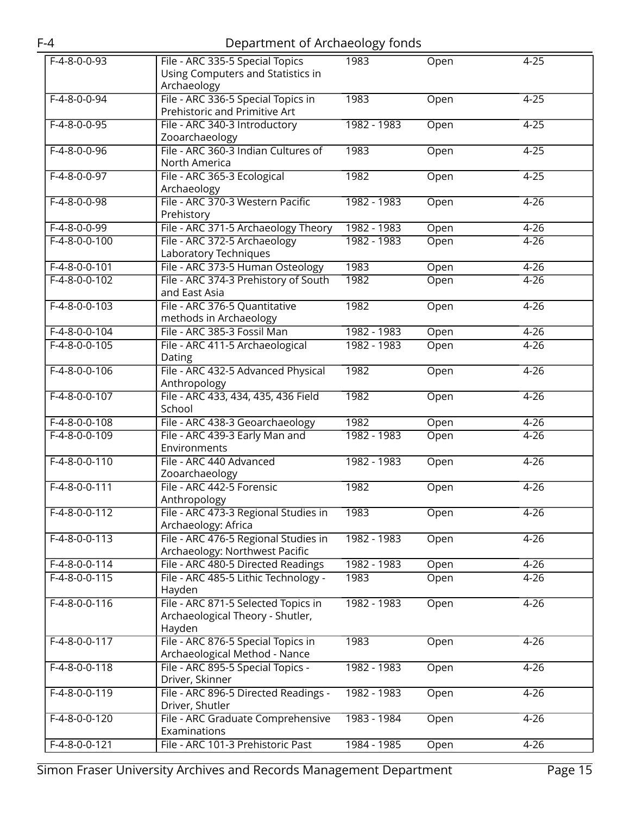|                 |                                                                                   | ັບ          |      |          |
|-----------------|-----------------------------------------------------------------------------------|-------------|------|----------|
| $F-4-8-0-0-93$  | File - ARC 335-5 Special Topics<br>Using Computers and Statistics in              | 1983        | Open | $4 - 25$ |
|                 | Archaeology                                                                       |             |      |          |
| $F-4-8-0-0-94$  | File - ARC 336-5 Special Topics in<br>Prehistoric and Primitive Art               | 1983        | Open | $4 - 25$ |
| $F-4-8-0-0-95$  | File - ARC 340-3 Introductory<br>Zooarchaeology                                   | 1982 - 1983 | Open | $4 - 25$ |
| $F-4-8-0-0-96$  | File - ARC 360-3 Indian Cultures of                                               | 1983        | Open | $4 - 25$ |
|                 | North America                                                                     |             |      |          |
| $F-4-8-0-0-97$  | File - ARC 365-3 Ecological<br>Archaeology                                        | 1982        | Open | $4 - 25$ |
| $F-4-8-0-0-98$  | File - ARC 370-3 Western Pacific<br>Prehistory                                    | 1982 - 1983 | Open | $4 - 26$ |
| $F-4-8-0-0-99$  | File - ARC 371-5 Archaeology Theory                                               | 1982 - 1983 | Open | $4 - 26$ |
| $F-4-8-0-0-100$ | File - ARC 372-5 Archaeology<br>Laboratory Techniques                             | 1982 - 1983 | Open | $4 - 26$ |
| $F-4-8-0-0-101$ | File - ARC 373-5 Human Osteology                                                  | 1983        | Open | $4 - 26$ |
| $F-4-8-0-0-102$ | File - ARC 374-3 Prehistory of South<br>and East Asia                             | 1982        | Open | $4 - 26$ |
| $F-4-8-0-0-103$ | File - ARC 376-5 Quantitative<br>methods in Archaeology                           | 1982        | Open | $4 - 26$ |
| $F-4-8-0-0-104$ | File - ARC 385-3 Fossil Man                                                       | 1982 - 1983 | Open | $4 - 26$ |
| $F-4-8-0-0-105$ | File - ARC 411-5 Archaeological                                                   | 1982 - 1983 | Open | $4 - 26$ |
|                 | Dating                                                                            |             |      |          |
| $F-4-8-0-0-106$ | File - ARC 432-5 Advanced Physical<br>Anthropology                                | 1982        | Open | $4 - 26$ |
| $F-4-8-0-0-107$ | File - ARC 433, 434, 435, 436 Field<br>School                                     | 1982        | Open | $4 - 26$ |
| $F-4-8-0-0-108$ | File - ARC 438-3 Geoarchaeology                                                   | 1982        | Open | $4 - 26$ |
| $F-4-8-0-0-109$ | File - ARC 439-3 Early Man and<br>Environments                                    | 1982 - 1983 | Open | $4 - 26$ |
| $F-4-8-0-0-110$ | File - ARC 440 Advanced<br>Zooarchaeology                                         | 1982 - 1983 | Open | $4 - 26$ |
| $F-4-8-0-0-111$ | File - ARC 442-5 Forensic<br>Anthropology                                         | 1982        | Open | $4 - 26$ |
| $F-4-8-0-0-112$ | File - ARC 473-3 Regional Studies in<br>Archaeology: Africa                       | 1983        | Open | $4 - 26$ |
| $F-4-8-0-0-113$ | File - ARC 476-5 Regional Studies in<br>Archaeology: Northwest Pacific            | 1982 - 1983 | Open | $4 - 26$ |
| $F-4-8-0-0-114$ | File - ARC 480-5 Directed Readings                                                | 1982 - 1983 | Open | $4 - 26$ |
| $F-4-8-0-0-115$ | File - ARC 485-5 Lithic Technology -<br>Hayden                                    | 1983        | Open | $4 - 26$ |
| $F-4-8-0-0-116$ | File - ARC 871-5 Selected Topics in<br>Archaeological Theory - Shutler,<br>Hayden | 1982 - 1983 | Open | $4 - 26$ |
| $F-4-8-0-0-117$ | File - ARC 876-5 Special Topics in<br>Archaeological Method - Nance               | 1983        | Open | $4 - 26$ |
| $F-4-8-0-0-118$ | File - ARC 895-5 Special Topics -<br>Driver, Skinner                              | 1982 - 1983 | Open | $4 - 26$ |
| $F-4-8-0-0-119$ | File - ARC 896-5 Directed Readings -<br>Driver, Shutler                           | 1982 - 1983 | Open | $4 - 26$ |
| $F-4-8-0-0-120$ | File - ARC Graduate Comprehensive<br>Examinations                                 | 1983 - 1984 | Open | $4 - 26$ |
| $F-4-8-0-0-121$ | File - ARC 101-3 Prehistoric Past                                                 | 1984 - 1985 | Open | $4 - 26$ |
|                 |                                                                                   |             |      |          |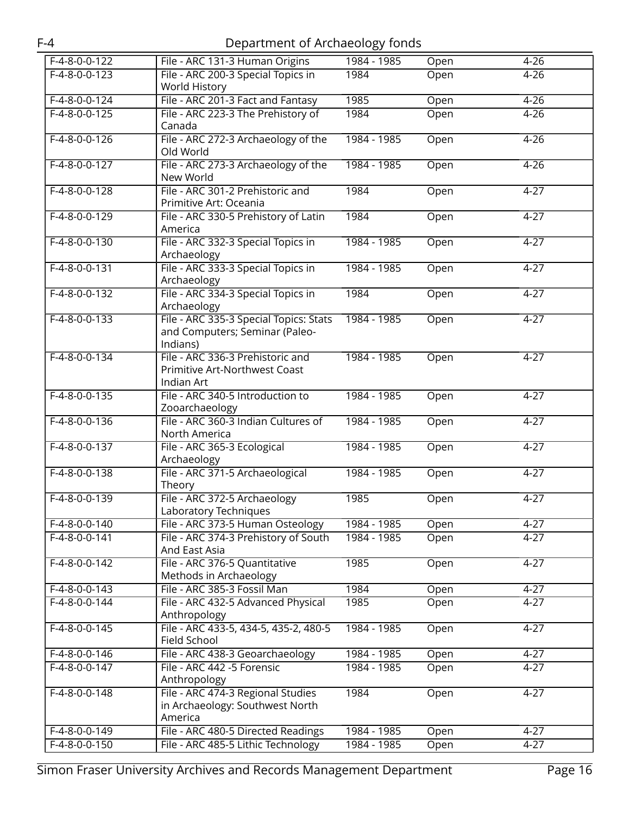| $F-4-8-0-0-122$ | File - ARC 131-3 Human Origins                        | 1984 - 1985 | Open | $4 - 26$ |
|-----------------|-------------------------------------------------------|-------------|------|----------|
| $F-4-8-0-0-123$ | File - ARC 200-3 Special Topics in                    | 1984        | Open | $4 - 26$ |
|                 | World History                                         |             |      |          |
| $F-4-8-0-0-124$ | File - ARC 201-3 Fact and Fantasy                     | 1985        | Open | $4 - 26$ |
| $F-4-8-0-0-125$ | File - ARC 223-3 The Prehistory of                    | 1984        | Open | $4 - 26$ |
|                 | Canada                                                |             |      |          |
| $F-4-8-0-0-126$ | File - ARC 272-3 Archaeology of the                   | 1984 - 1985 | Open | $4 - 26$ |
|                 | Old World                                             |             |      |          |
| $F-4-8-0-0-127$ | File - ARC 273-3 Archaeology of the                   | 1984 - 1985 | Open | $4 - 26$ |
|                 | New World                                             |             |      |          |
| $F-4-8-0-0-128$ | File - ARC 301-2 Prehistoric and                      | 1984        | Open | $4 - 27$ |
|                 | Primitive Art: Oceania                                |             |      |          |
| $F-4-8-0-0-129$ | File - ARC 330-5 Prehistory of Latin                  | 1984        | Open | $4 - 27$ |
|                 | America                                               |             |      |          |
| $F-4-8-0-0-130$ | File - ARC 332-3 Special Topics in                    | 1984 - 1985 | Open | $4 - 27$ |
|                 | Archaeology                                           |             |      |          |
| $F-4-8-0-0-131$ | File - ARC 333-3 Special Topics in                    | 1984 - 1985 | Open | $4 - 27$ |
|                 | Archaeology                                           |             |      |          |
| $F-4-8-0-0-132$ | File - ARC 334-3 Special Topics in                    | 1984        | Open | $4 - 27$ |
|                 | Archaeology                                           |             |      |          |
| $F-4-8-0-0-133$ | File - ARC 335-3 Special Topics: Stats                | 1984 - 1985 | Open | $4 - 27$ |
|                 | and Computers; Seminar (Paleo-                        |             |      |          |
|                 | Indians)                                              |             |      |          |
| $F-4-8-0-0-134$ | File - ARC 336-3 Prehistoric and                      | 1984 - 1985 | Open | $4 - 27$ |
|                 | Primitive Art-Northwest Coast                         |             |      |          |
|                 | Indian Art                                            |             |      |          |
| $F-4-8-0-0-135$ | File - ARC 340-5 Introduction to                      | 1984 - 1985 | Open | $4 - 27$ |
|                 | Zooarchaeology                                        |             |      |          |
| $F-4-8-0-0-136$ | File - ARC 360-3 Indian Cultures of                   | 1984 - 1985 | Open | $4 - 27$ |
|                 | North America                                         |             |      |          |
| $F-4-8-0-0-137$ | File - ARC 365-3 Ecological                           | 1984 - 1985 | Open | $4 - 27$ |
|                 | Archaeology<br>File - ARC 371-5 Archaeological        |             |      |          |
| $F-4-8-0-0-138$ | Theory                                                | 1984 - 1985 | Open | $4 - 27$ |
| $F-4-8-0-0-139$ | File - ARC 372-5 Archaeology                          | 1985        |      | $4 - 27$ |
|                 | Laboratory Techniques                                 |             | Open |          |
| $F-4-8-0-0-140$ | File - ARC 373-5 Human Osteology                      | 1984 - 1985 | Open | $4 - 27$ |
| $F-4-8-0-0-141$ |                                                       | 1984 - 1985 |      |          |
|                 | File - ARC 374-3 Prehistory of South<br>And East Asia |             | Open | $4 - 27$ |
| $F-4-8-0-0-142$ | File - ARC 376-5 Quantitative                         | 1985        | Open | $4 - 27$ |
|                 | Methods in Archaeology                                |             |      |          |
| F-4-8-0-0-143   | File - ARC 385-3 Fossil Man                           | 1984        | Open | $4 - 27$ |
| $F-4-8-0-0-144$ | File - ARC 432-5 Advanced Physical                    | 1985        | Open | $4 - 27$ |
|                 | Anthropology                                          |             |      |          |
| $F-4-8-0-0-145$ | File - ARC 433-5, 434-5, 435-2, 480-5                 | 1984 - 1985 | Open | $4 - 27$ |
|                 | Field School                                          |             |      |          |
| $F-4-8-0-0-146$ | File - ARC 438-3 Geoarchaeology                       | 1984 - 1985 | Open | $4 - 27$ |
| $F-4-8-0-0-147$ | File - ARC 442 -5 Forensic                            | 1984 - 1985 | Open | $4 - 27$ |
|                 | Anthropology                                          |             |      |          |
| F-4-8-0-0-148   | File - ARC 474-3 Regional Studies                     | 1984        | Open | $4 - 27$ |
|                 | in Archaeology: Southwest North                       |             |      |          |
|                 | America                                               |             |      |          |
| F-4-8-0-0-149   | File - ARC 480-5 Directed Readings                    | 1984 - 1985 | Open | $4 - 27$ |
| $F-4-8-0-0-150$ | File - ARC 485-5 Lithic Technology                    | 1984 - 1985 | Open | $4 - 27$ |
|                 |                                                       |             |      |          |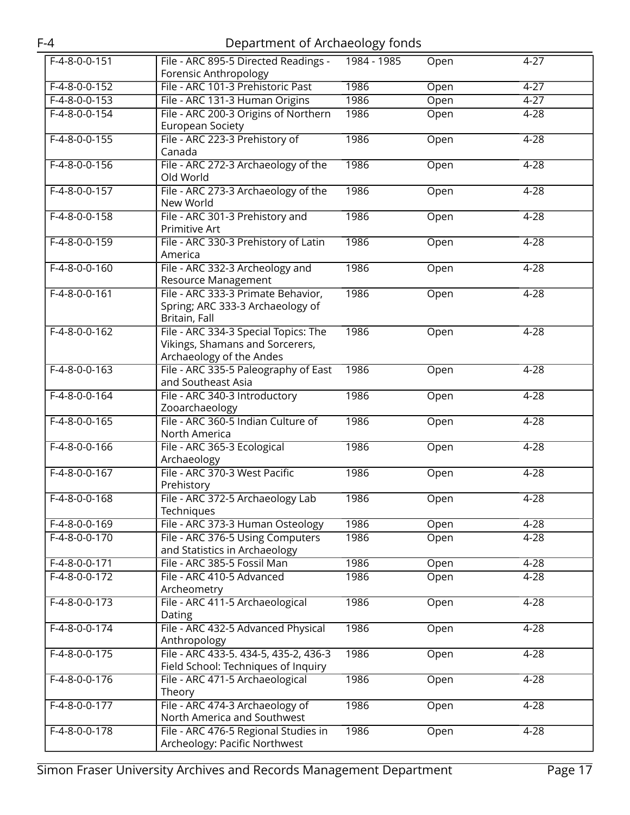| $F-4-8-0-0-151$ | File - ARC 895-5 Directed Readings -<br>Forensic Anthropology                                       | 1984 - 1985 | Open | $4 - 27$ |
|-----------------|-----------------------------------------------------------------------------------------------------|-------------|------|----------|
| $F-4-8-0-0-152$ | File - ARC 101-3 Prehistoric Past                                                                   | 1986        | Open | $4 - 27$ |
| $F-4-8-0-0-153$ |                                                                                                     | 1986        |      | $4 - 27$ |
|                 | File - ARC 131-3 Human Origins                                                                      |             | Open |          |
| $F-4-8-0-0-154$ | File - ARC 200-3 Origins of Northern<br><b>European Society</b>                                     | 1986        | Open | $4 - 28$ |
| $F-4-8-0-0-155$ | File - ARC 223-3 Prehistory of<br>Canada                                                            | 1986        | Open | $4 - 28$ |
| $F-4-8-0-0-156$ | File - ARC 272-3 Archaeology of the<br>Old World                                                    | 1986        | Open | $4 - 28$ |
| $F-4-8-0-0-157$ | File - ARC 273-3 Archaeology of the<br>New World                                                    | 1986        | Open | $4 - 28$ |
| $F-4-8-0-0-158$ | File - ARC 301-3 Prehistory and<br>Primitive Art                                                    | 1986        | Open | $4 - 28$ |
| $F-4-8-0-0-159$ | File - ARC 330-3 Prehistory of Latin<br>America                                                     | 1986        | Open | $4 - 28$ |
| $F-4-8-0-0-160$ | File - ARC 332-3 Archeology and<br>Resource Management                                              | 1986        | Open | $4 - 28$ |
| $F-4-8-0-0-161$ | File - ARC 333-3 Primate Behavior,<br>Spring; ARC 333-3 Archaeology of<br>Britain, Fall             | 1986        | Open | $4 - 28$ |
| $F-4-8-0-0-162$ | File - ARC 334-3 Special Topics: The<br>Vikings, Shamans and Sorcerers,<br>Archaeology of the Andes | 1986        | Open | $4 - 28$ |
| $F-4-8-0-0-163$ | File - ARC 335-5 Paleography of East<br>and Southeast Asia                                          | 1986        | Open | $4 - 28$ |
| $F-4-8-0-0-164$ | File - ARC 340-3 Introductory<br>Zooarchaeology                                                     | 1986        | Open | $4 - 28$ |
| $F-4-8-0-0-165$ | File - ARC 360-5 Indian Culture of<br>North America                                                 | 1986        | Open | $4 - 28$ |
| $F-4-8-0-0-166$ | File - ARC 365-3 Ecological<br>Archaeology                                                          | 1986        | Open | $4 - 28$ |
| $F-4-8-0-0-167$ | File - ARC 370-3 West Pacific<br>Prehistory                                                         | 1986        | Open | $4 - 28$ |
| $F-4-8-0-0-168$ | File - ARC 372-5 Archaeology Lab<br>Techniques                                                      | 1986        | Open | $4 - 28$ |
| $F-4-8-0-0-169$ | File - ARC 373-3 Human Osteology                                                                    | 1986        | Open | $4 - 28$ |
| $F-4-8-0-0-170$ | File - ARC 376-5 Using Computers<br>and Statistics in Archaeology                                   | 1986        | Open | $4 - 28$ |
| F-4-8-0-0-171   | File - ARC 385-5 Fossil Man                                                                         | 1986        | Open | $4 - 28$ |
| $F-4-8-0-0-172$ | File - ARC 410-5 Advanced<br>Archeometry                                                            | 1986        | Open | $4 - 28$ |
| $F-4-8-0-0-173$ | File - ARC 411-5 Archaeological<br>Dating                                                           | 1986        | Open | $4 - 28$ |
| $F-4-8-0-0-174$ | File - ARC 432-5 Advanced Physical<br>Anthropology                                                  | 1986        | Open | $4 - 28$ |
| $F-4-8-0-0-175$ | File - ARC 433-5. 434-5, 435-2, 436-3<br>Field School: Techniques of Inquiry                        | 1986        | Open | $4 - 28$ |
| $F-4-8-0-0-176$ | File - ARC 471-5 Archaeological<br>Theory                                                           | 1986        | Open | $4 - 28$ |
| $F-4-8-0-0-177$ | File - ARC 474-3 Archaeology of<br>North America and Southwest                                      | 1986        | Open | $4 - 28$ |
| $F-4-8-0-0-178$ | File - ARC 476-5 Regional Studies in<br>Archeology: Pacific Northwest                               | 1986        | Open | $4 - 28$ |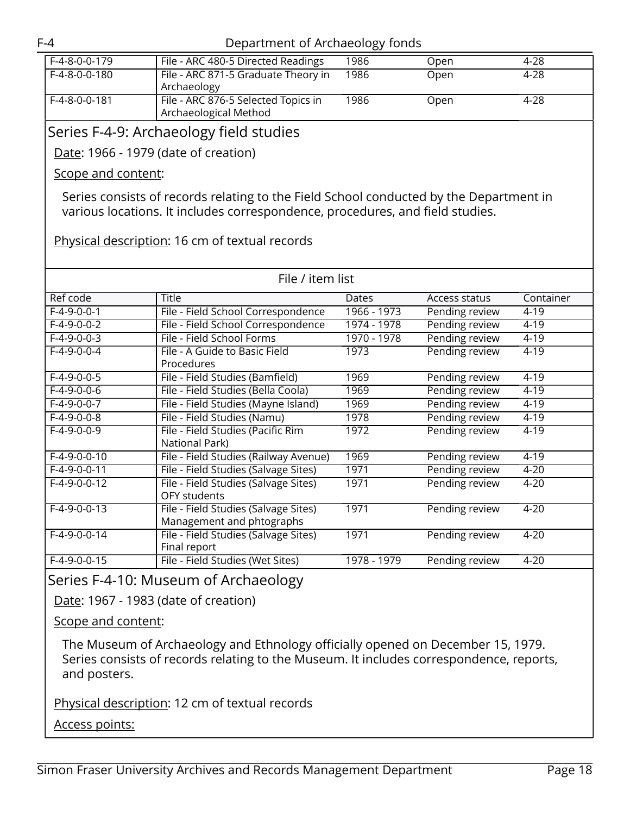| F-4-8-0-0-179 | File - ARC 480-5 Directed Readings                           | 1986 | Open | 4-28 |
|---------------|--------------------------------------------------------------|------|------|------|
| F-4-8-0-0-180 | File - ARC 871-5 Graduate Theory in<br>Archaeology           | 1986 | Open | 4-28 |
| F-4-8-0-0-181 | File - ARC 876-5 Selected Topics in<br>Archaeological Method | 1986 | Open | 4-28 |
|               |                                                              |      |      |      |

### <span id="page-17-0"></span>Series F-4-9: Archaeology field studies

Date: 1966 - 1979 (date of creation)

Scope and content:

Series consists of records relating to the Field School conducted by the Department in various locations. It includes correspondence, procedures, and field studies.

Physical description: 16 cm of textual records

| File / item list |                                       |             |                |           |
|------------------|---------------------------------------|-------------|----------------|-----------|
| Ref code         | Title                                 | Dates       | Access status  | Container |
| $F-4-9-0-0-1$    | File - Field School Correspondence    | 1966 - 1973 | Pending review | $4 - 19$  |
| $F-4-9-0-0-2$    | File - Field School Correspondence    | 1974 - 1978 | Pending review | $4 - 19$  |
| $F-4-9-0-0-3$    | File - Field School Forms             | 1970 - 1978 | Pending review | $4 - 19$  |
| $F-4-9-0-0-4$    | File - A Guide to Basic Field         | 1973        | Pending review | $4 - 19$  |
|                  | Procedures                            |             |                |           |
| $F-4-9-0-0-5$    | File - Field Studies (Bamfield)       | 1969        | Pending review | $4 - 19$  |
| $F-4-9-0-0-6$    | File - Field Studies (Bella Coola)    | 1969        | Pending review | $4 - 19$  |
| $F-4-9-0-0-7$    | File - Field Studies (Mayne Island)   | 1969        | Pending review | $4 - 19$  |
| $F-4-9-0-0-8$    | File - Field Studies (Namu)           | 1978        | Pending review | $4 - 19$  |
| $F-4-9-0-0-9$    | File - Field Studies (Pacific Rim     | 1972        | Pending review | $4 - 19$  |
|                  | National Park)                        |             |                |           |
| $F-4-9-0-0-10$   | File - Field Studies (Railway Avenue) | 1969        | Pending review | $4 - 19$  |
| $F-4-9-0-0-11$   | File - Field Studies (Salvage Sites)  | 1971        | Pending review | $4 - 20$  |
| $F-4-9-0-0-12$   | File - Field Studies (Salvage Sites)  | 1971        | Pending review | $4 - 20$  |
|                  | OFY students                          |             |                |           |
| $F-4-9-0-0-13$   | File - Field Studies (Salvage Sites)  | 1971        | Pending review | $4 - 20$  |
|                  | Management and phtographs             |             |                |           |
| $F-4-9-0-0-14$   | File - Field Studies (Salvage Sites)  | 1971        | Pending review | $4 - 20$  |
|                  | Final report                          |             |                |           |
| $F-4-9-0-0-15$   | File - Field Studies (Wet Sites)      | 1978 - 1979 | Pending review | $4 - 20$  |

<span id="page-17-1"></span>Series F-4-10: Museum of Archaeology

Date: 1967 - 1983 (date of creation)

Scope and content:

The Museum of Archaeology and Ethnology officially opened on December 15, 1979. Series consists of records relating to the Museum. It includes correspondence, reports, and posters.

Physical description: 12 cm of textual records

Access points: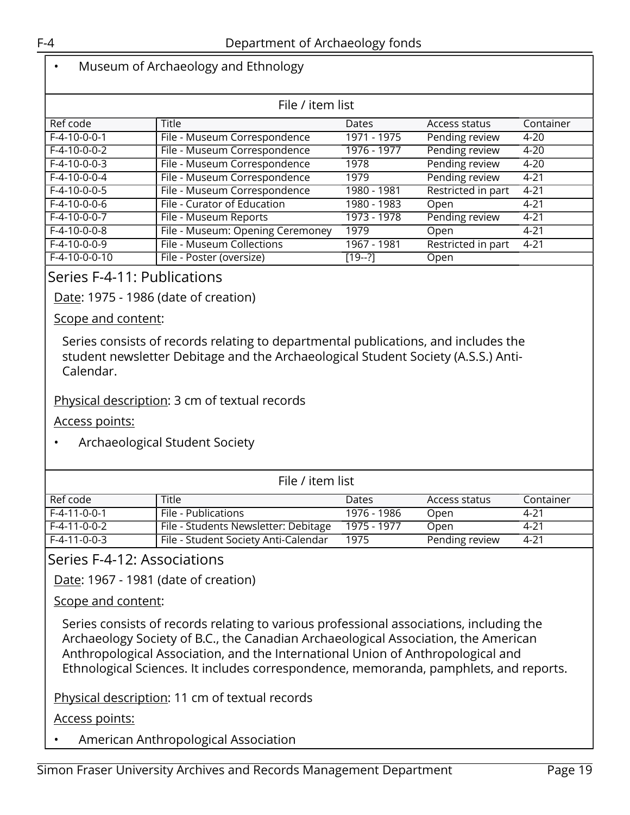# • Museum of Archaeology and Ethnology

| File / item list |                                  |              |                    |           |  |
|------------------|----------------------------------|--------------|--------------------|-----------|--|
| Ref code         | <b>Title</b>                     | <b>Dates</b> | Access status      | Container |  |
| $F-4-10-0-0-1$   | File - Museum Correspondence     | 1971 - 1975  | Pending review     | $4 - 20$  |  |
| $F-4-10-0-0-2$   | File - Museum Correspondence     | 1976 - 1977  | Pending review     | $4 - 20$  |  |
| $F-4-10-0-0-3$   | File - Museum Correspondence     | 1978         | Pending review     | $4 - 20$  |  |
| $F-4-10-0-0-4$   | File - Museum Correspondence     | 1979         | Pending review     | $4 - 21$  |  |
| $F-4-10-0-0-5$   | File - Museum Correspondence     | 1980 - 1981  | Restricted in part | $4 - 21$  |  |
| $F-4-10-0-0-6$   | File - Curator of Education      | 1980 - 1983  | Open               | $4 - 21$  |  |
| $F-4-10-0-0-7$   | File - Museum Reports            | 1973 - 1978  | Pending review     | $4 - 21$  |  |
| $F-4-10-0-0-8$   | File - Museum: Opening Ceremoney | 1979         | Open               | $4 - 21$  |  |
| $F-4-10-0-0-9$   | File - Museum Collections        | 1967 - 1981  | Restricted in part | 4-21      |  |
| F-4-10-0-0-10    | File - Poster (oversize)         | $[19-2]$     | Open               |           |  |

## <span id="page-18-0"></span>Series F-4-11: Publications

Date: 1975 - 1986 (date of creation)

Scope and content:

Series consists of records relating to departmental publications, and includes the student newsletter Debitage and the Archaeological Student Society (A.S.S.) Anti-Calendar.

#### Physical description: 3 cm of textual records

Access points:

• Archaeological Student Society

| File / item list |                                      |             |                |           |  |
|------------------|--------------------------------------|-------------|----------------|-----------|--|
| Ref code         | <b>Title</b>                         | Dates       | Access status  | Container |  |
| F-4-11-0-0-1     | File - Publications                  | 1976 - 1986 | Open           | 4-21      |  |
| F-4-11-0-0-2     | File - Students Newsletter: Debitage | 1975 - 1977 | Open           | 4-21      |  |
| F-4-11-0-0-3     | File - Student Society Anti-Calendar | 1975        | Pending review | 4-21      |  |

<span id="page-18-1"></span>Series F-4-12: Associations

Date: 1967 - 1981 (date of creation)

Scope and content:

Series consists of records relating to various professional associations, including the Archaeology Society of B.C., the Canadian Archaeological Association, the American Anthropological Association, and the International Union of Anthropological and Ethnological Sciences. It includes correspondence, memoranda, pamphlets, and reports.

Physical description: 11 cm of textual records

Access points:

• American Anthropological Association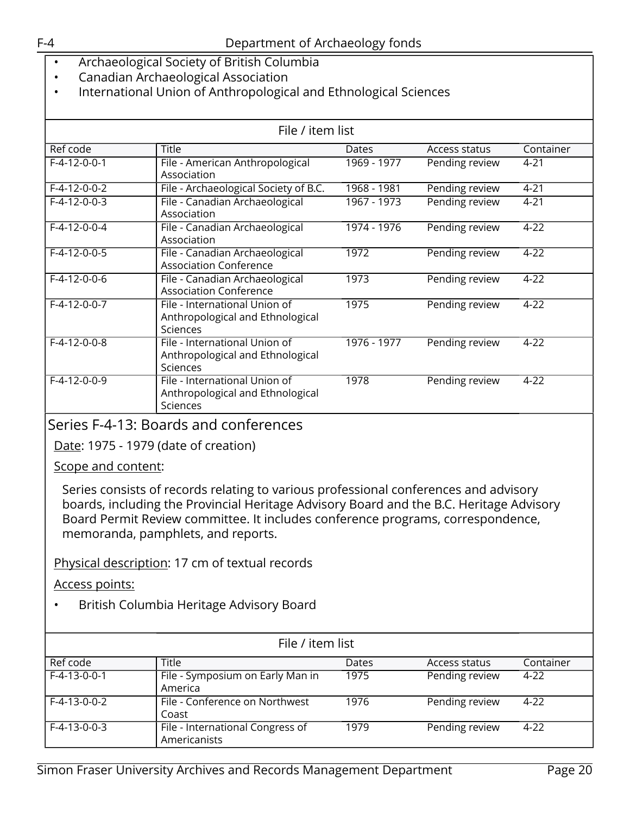- Archaeological Society of British Columbia
- Canadian Archaeological Association
- International Union of Anthropological and Ethnological Sciences

| File / item list |                                                                                      |               |                |           |  |
|------------------|--------------------------------------------------------------------------------------|---------------|----------------|-----------|--|
| Ref code         | <b>Title</b>                                                                         | Dates         | Access status  | Container |  |
| $F-4-12-0-0-1$   | File - American Anthropological<br>Association                                       | 1969 - 1977   | Pending review | $4 - 21$  |  |
| $F-4-12-0-0-2$   | File - Archaeological Society of B.C.                                                | 1968 - 1981   | Pending review | $4 - 21$  |  |
| $F-4-12-0-0-3$   | File - Canadian Archaeological<br>Association                                        | $1967 - 1973$ | Pending review | $4 - 21$  |  |
| $F-4-12-0-0-4$   | File - Canadian Archaeological<br>Association                                        | 1974 - 1976   | Pending review | $4 - 22$  |  |
| $F-4-12-0-0-5$   | File - Canadian Archaeological<br><b>Association Conference</b>                      | 1972          | Pending review | $4 - 22$  |  |
| $F-4-12-0-0-6$   | File - Canadian Archaeological<br><b>Association Conference</b>                      | 1973          | Pending review | $4 - 22$  |  |
| $F-4-12-0-0-7$   | File - International Union of<br>Anthropological and Ethnological<br><b>Sciences</b> | 1975          | Pending review | $4 - 22$  |  |
| $F-4-12-0-0-8$   | File - International Union of<br>Anthropological and Ethnological<br>Sciences        | $1976 - 1977$ | Pending review | $4 - 22$  |  |
| $F-4-12-0-0-9$   | File - International Union of<br>Anthropological and Ethnological<br>Sciences        | 1978          | Pending review | $4 - 22$  |  |

# <span id="page-19-0"></span>Series F-4-13: Boards and conferences

Date: 1975 - 1979 (date of creation)

Scope and content:

Series consists of records relating to various professional conferences and advisory boards, including the Provincial Heritage Advisory Board and the B.C. Heritage Advisory Board Permit Review committee. It includes conference programs, correspondence, memoranda, pamphlets, and reports.

## Physical description: 17 cm of textual records

Access points:

• British Columbia Heritage Advisory Board

| File / item list |                                                  |       |                |           |  |
|------------------|--------------------------------------------------|-------|----------------|-----------|--|
| Ref code         | Title                                            | Dates | Access status  | Container |  |
| $F-4-13-0-0-1$   | File - Symposium on Early Man in<br>America      | 1975  | Pending review | $4 - 22$  |  |
| $F-4-13-0-0-2$   | File - Conference on Northwest<br>Coast          | 1976  | Pending review | 4-22      |  |
| $F-4-13-0-0-3$   | File - International Congress of<br>Americanists | 1979  | Pending review | 4-22      |  |